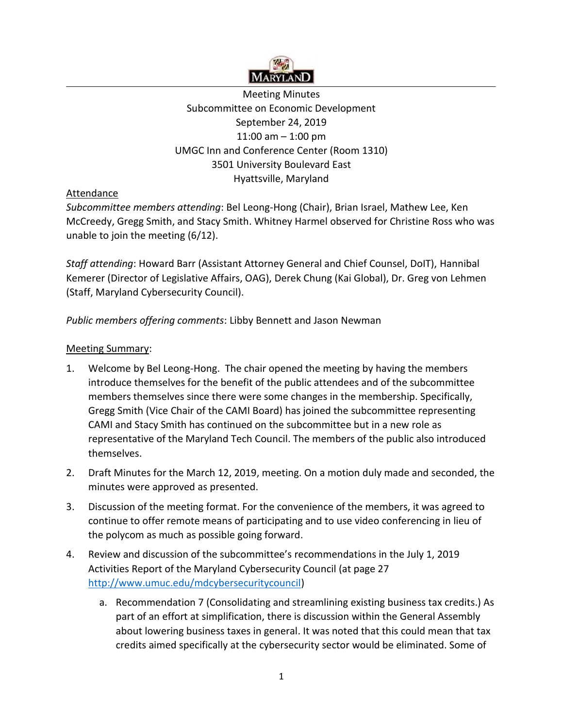

Meeting Minutes Subcommittee on Economic Development September 24, 2019 11:00 am – 1:00 pm UMGC Inn and Conference Center (Room 1310) 3501 University Boulevard East Hyattsville, Maryland

## Attendance

*Subcommittee members attending*: Bel Leong-Hong (Chair), Brian Israel, Mathew Lee, Ken McCreedy, Gregg Smith, and Stacy Smith. Whitney Harmel observed for Christine Ross who was unable to join the meeting (6/12).

*Staff attending*: Howard Barr (Assistant Attorney General and Chief Counsel, DoIT), Hannibal Kemerer (Director of Legislative Affairs, OAG), Derek Chung (Kai Global), Dr. Greg von Lehmen (Staff, Maryland Cybersecurity Council).

*Public members offering comments*: Libby Bennett and Jason Newman

## Meeting Summary:

- 1. Welcome by Bel Leong-Hong. The chair opened the meeting by having the members introduce themselves for the benefit of the public attendees and of the subcommittee members themselves since there were some changes in the membership. Specifically, Gregg Smith (Vice Chair of the CAMI Board) has joined the subcommittee representing CAMI and Stacy Smith has continued on the subcommittee but in a new role as representative of the Maryland Tech Council. The members of the public also introduced themselves.
- 2. Draft Minutes for the March 12, 2019, meeting. On a motion duly made and seconded, the minutes were approved as presented.
- 3. Discussion of the meeting format. For the convenience of the members, it was agreed to continue to offer remote means of participating and to use video conferencing in lieu of the polycom as much as possible going forward.
- 4. Review and discussion of the subcommittee's recommendations in the July 1, 2019 Activities Report of the Maryland Cybersecurity Council (at page 27 [http://www.umuc.edu/mdcybersecuritycouncil\)](http://www.umuc.edu/mdcybersecuritycouncil)
	- a. Recommendation 7 (Consolidating and streamlining existing business tax credits.) As part of an effort at simplification, there is discussion within the General Assembly about lowering business taxes in general. It was noted that this could mean that tax credits aimed specifically at the cybersecurity sector would be eliminated. Some of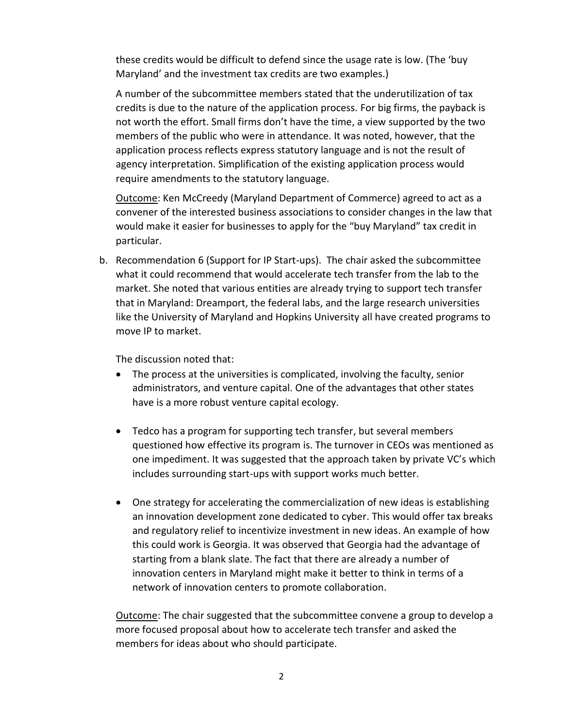these credits would be difficult to defend since the usage rate is low. (The 'buy Maryland' and the investment tax credits are two examples.)

A number of the subcommittee members stated that the underutilization of tax credits is due to the nature of the application process. For big firms, the payback is not worth the effort. Small firms don't have the time, a view supported by the two members of the public who were in attendance. It was noted, however, that the application process reflects express statutory language and is not the result of agency interpretation. Simplification of the existing application process would require amendments to the statutory language.

Outcome: Ken McCreedy (Maryland Department of Commerce) agreed to act as a convener of the interested business associations to consider changes in the law that would make it easier for businesses to apply for the "buy Maryland" tax credit in particular.

b. Recommendation 6 (Support for IP Start-ups). The chair asked the subcommittee what it could recommend that would accelerate tech transfer from the lab to the market. She noted that various entities are already trying to support tech transfer that in Maryland: Dreamport, the federal labs, and the large research universities like the University of Maryland and Hopkins University all have created programs to move IP to market.

The discussion noted that:

- The process at the universities is complicated, involving the faculty, senior administrators, and venture capital. One of the advantages that other states have is a more robust venture capital ecology.
- Tedco has a program for supporting tech transfer, but several members questioned how effective its program is. The turnover in CEOs was mentioned as one impediment. It was suggested that the approach taken by private VC's which includes surrounding start-ups with support works much better.
- One strategy for accelerating the commercialization of new ideas is establishing an innovation development zone dedicated to cyber. This would offer tax breaks and regulatory relief to incentivize investment in new ideas. An example of how this could work is Georgia. It was observed that Georgia had the advantage of starting from a blank slate. The fact that there are already a number of innovation centers in Maryland might make it better to think in terms of a network of innovation centers to promote collaboration.

Outcome: The chair suggested that the subcommittee convene a group to develop a more focused proposal about how to accelerate tech transfer and asked the members for ideas about who should participate.